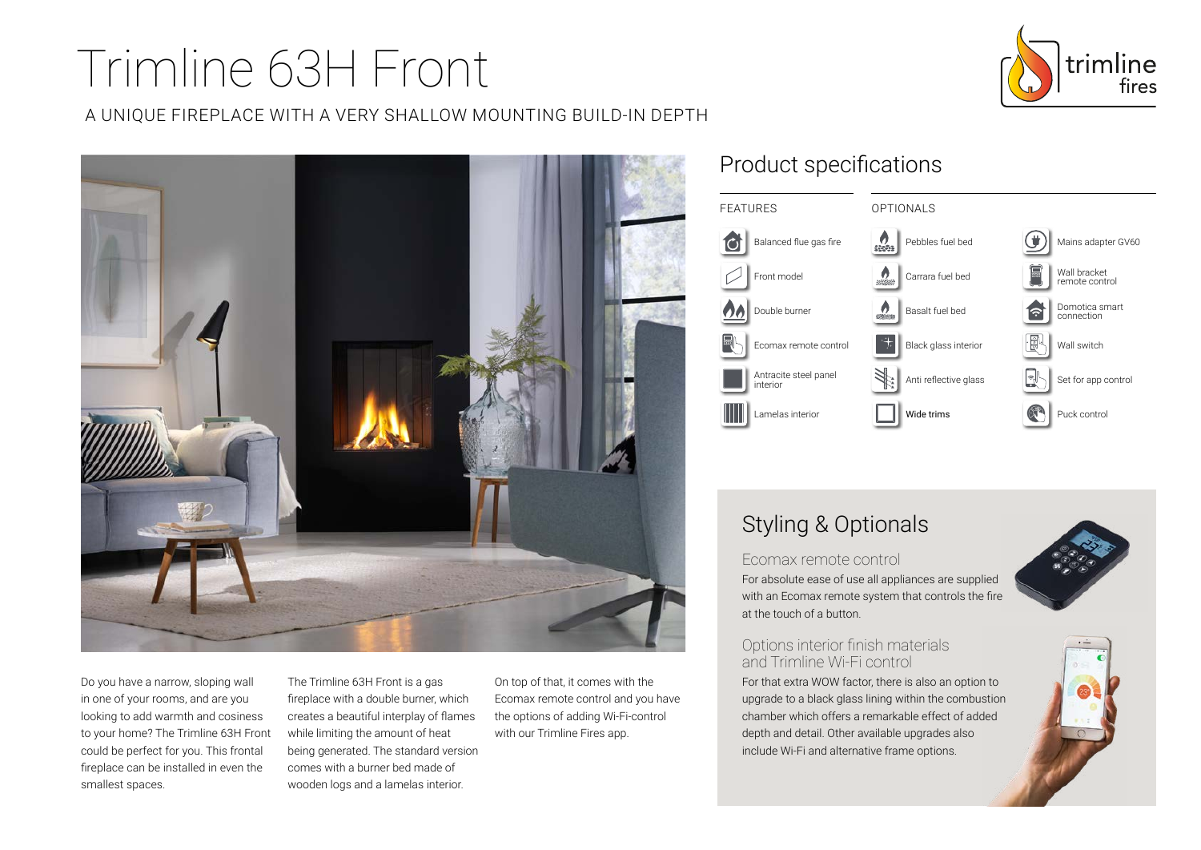# Trimline 63H Front





Do you have a narrow, sloping wall in one of your rooms, and are you looking to add warmth and cosiness to your home? The Trimline 63H Front could be perfect for you. This frontal fireplace can be installed in even the smallest spaces.

The Trimline 63H Front is a gas fireplace with a double burner, which creates a beautiful interplay of flames while limiting the amount of heat being generated. The standard version comes with a burner bed made of wooden logs and a lamelas interior.

On top of that, it comes with the Ecomax remote control and you have the options of adding Wi-Fi-control with our Trimline Fires app.

## Product specifications



## Styling & Optionals

#### Ecomax remote control

For absolute ease of use all appliances are supplied with an Ecomax remote system that controls the fire at the touch of a button.

#### Options interior finish materials and Trimline Wi-Fi control

For that extra WOW factor, there is also an option to upgrade to a black glass lining within the combustion chamber which offers a remarkable effect of added depth and detail. Other available upgrades also include Wi-Fi and alternative frame options.